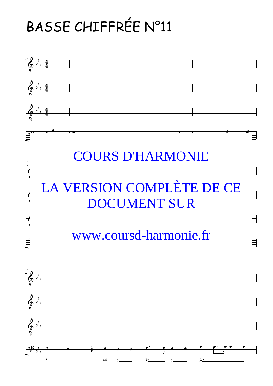## BASSE CHIFFRÉE N°11